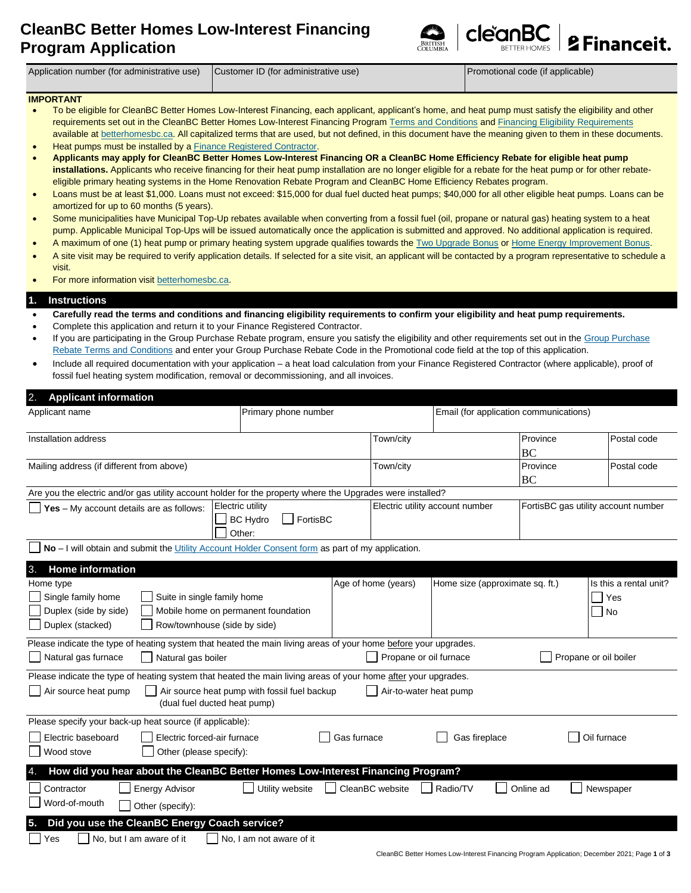# **CleanBC Better Homes Low-Interest Financing Program Application**





Application number (for administrative use) Customer ID (for administrative use) Promotional code (if applicable)

## **IMPORTANT**

- To be eligible for CleanBC Better Homes Low-Interest Financing, each applicant, applicant's home, and heat pump must satisfy the eligibility and other requirements set out in the CleanBC Better Homes Low-Interest Financing Program [Terms and Conditions](http://www.betterhomesbc.ca/financing-terms) an[d Financing Eligibility Requirements](http://www.betterhomesbc.ca/financing-reqs) available a[t betterhomesbc.ca.](https://betterhomesbc.ca/) All capitalized terms that are used, but not defined, in this document have the meaning given to them in these documents.
- Heat pumps must be installed by a [Finance Registered Contractor.](http://www.betterhomesbc.ca/frc)
- **Applicants may apply for CleanBC Better Homes Low-Interest Financing OR a CleanBC Home Efficiency Rebate for eligible heat pump installations.** Applicants who receive financing for their heat pump installation are no longer eligible for a rebate for the heat pump or for other rebateeligible primary heating systems in the Home Renovation Rebate Program and CleanBC Home Efficiency Rebates program.
- Loans must be at least \$1,000. Loans must not exceed: \$15,000 for dual fuel ducted heat pumps; \$40,000 for all other eligible heat pumps. Loans can be amortized for up to 60 months (5 years).
- Some municipalities have Municipal Top-Up rebates available when converting from a fossil fuel (oil, propane or natural gas) heating system to a heat pump. Applicable Municipal Top-Ups will be issued automatically once the application is submitted and approved. No additional application is required.
- A maximum of one (1) heat pump or primary heating system upgrade qualifies towards th[e Two Upgrade Bonus](https://betterhomesbc.ca/rebates/two-upgrade-bonus/) o[r Home Energy Improvement Bonus.](https://betterhomesbc.ca/rebates/home-energy-improvement-bonus/)
- A site visit may be required to verify application details. If selected for a site visit, an applicant will be contacted by a program representative to schedule a visit.
- For more information visit [betterhomesbc.ca.](https://betterhomesbc.ca/)

## **1. Instructions**

- **Carefully read the terms and conditions and financing eligibility requirements to confirm your eligibility and heat pump requirements.**
- Complete this application and return it to your Finance Registered Contractor.
- If you are participating in the Group Purchase Rebate program, ensure you satisfy the eligibility and other requirements set out in th[e Group Purchase](https://betterhomesbc.ca/rebates/gpr/)  [Rebate Terms and Conditions](https://betterhomesbc.ca/rebates/gpr/) and enter your Group Purchase Rebate Code in the Promotional code field at the top of this application.
- Include all required documentation with your application a heat load calculation from your Finance Registered Contractor (where applicable), proof of fossil fuel heating system modification, removal or decommissioning, and all invoices.

| 2.<br><b>Applicant information</b>                                                                                                                                     |                                              |                        |                                 |                                        |                                            |  |  |
|------------------------------------------------------------------------------------------------------------------------------------------------------------------------|----------------------------------------------|------------------------|---------------------------------|----------------------------------------|--------------------------------------------|--|--|
| Applicant name                                                                                                                                                         |                                              | Primary phone number   |                                 | Email (for application communications) |                                            |  |  |
| Installation address                                                                                                                                                   |                                              | Town/city              |                                 | Province<br><b>BC</b>                  | Postal code                                |  |  |
| Mailing address (if different from above)                                                                                                                              |                                              | Town/city              |                                 |                                        | Postal code                                |  |  |
| Are you the electric and/or gas utility account holder for the property where the Upgrades were installed?                                                             |                                              |                        |                                 |                                        |                                            |  |  |
| Electric utility<br>$\Box$ Yes – My account details are as follows:<br>FortisBC<br><b>BC Hydro</b><br>Other:                                                           |                                              |                        | Electric utility account number |                                        | FortisBC gas utility account number        |  |  |
| No - I will obtain and submit the Utility Account Holder Consent form as part of my application.                                                                       |                                              |                        |                                 |                                        |                                            |  |  |
| 3.<br><b>Home information</b>                                                                                                                                          |                                              |                        |                                 |                                        |                                            |  |  |
| Home type<br>Single family home<br>Suite in single family home<br>Duplex (side by side)<br>Duplex (stacked)<br>Row/townhouse (side by side)                            | Mobile home on permanent foundation          | Age of home (years)    | Home size (approximate sq. ft.) |                                        | Is this a rental unit?<br>Yes<br>$\Box$ No |  |  |
| Please indicate the type of heating system that heated the main living areas of your home before your upgrades.<br>$\Box$ Natural gas furnace<br>Natural gas boiler    |                                              | Propane or oil furnace |                                 |                                        | Propane or oil boiler                      |  |  |
| Please indicate the type of heating system that heated the main living areas of your home after your upgrades.<br>Air source heat pump<br>(dual fuel ducted heat pump) | Air source heat pump with fossil fuel backup | Air-to-water heat pump |                                 |                                        |                                            |  |  |
| Please specify your back-up heat source (if applicable):<br>Electric baseboard<br>Electric forced-air furnace<br>Wood stove<br>Other (please specify):                 |                                              | Gas furnace            | Gas fireplace                   |                                        | Oil furnace                                |  |  |
| How did you hear about the CleanBC Better Homes Low-Interest Financing Program?                                                                                        |                                              |                        |                                 |                                        |                                            |  |  |
| Contractor<br><b>Energy Advisor</b><br>Word-of-mouth<br>Other (specify):                                                                                               | Utility website                              | CleanBC website        | Radio/TV                        | Online ad                              | Newspaper                                  |  |  |
| Did you use the CleanBC Energy Coach service?<br>5.                                                                                                                    |                                              |                        |                                 |                                        |                                            |  |  |
| Yes<br>No, but I am aware of it                                                                                                                                        | No, I am not aware of it                     |                        |                                 |                                        |                                            |  |  |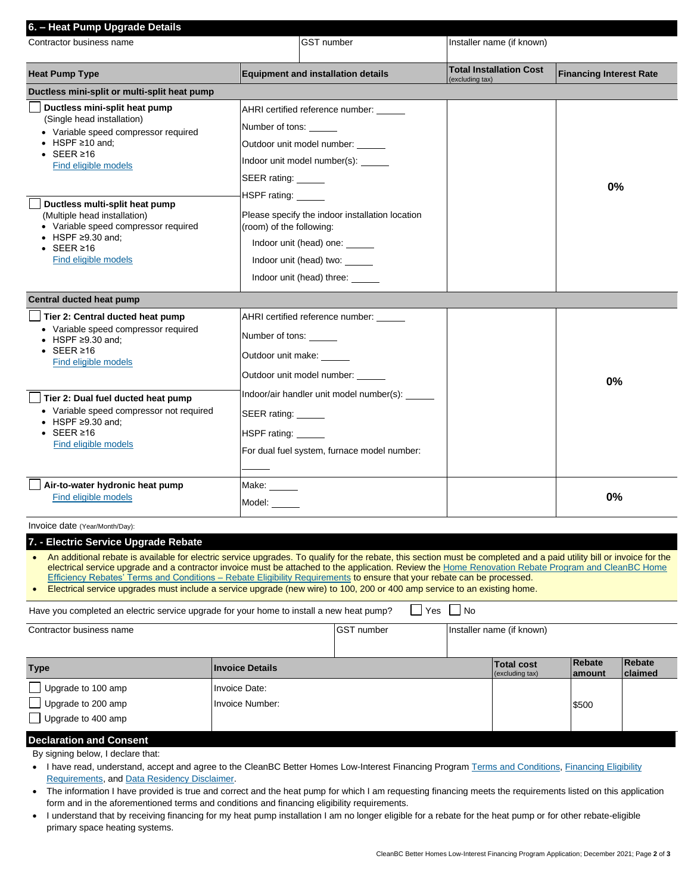| 6. - Heat Pump Upgrade Details                                                                                                                                                                                                                                                                                                                                                          |                                                                                                                                                                                                                                                                                                                                                            |                                                |                                                   |                                |  |
|-----------------------------------------------------------------------------------------------------------------------------------------------------------------------------------------------------------------------------------------------------------------------------------------------------------------------------------------------------------------------------------------|------------------------------------------------------------------------------------------------------------------------------------------------------------------------------------------------------------------------------------------------------------------------------------------------------------------------------------------------------------|------------------------------------------------|---------------------------------------------------|--------------------------------|--|
| Contractor business name                                                                                                                                                                                                                                                                                                                                                                |                                                                                                                                                                                                                                                                                                                                                            | <b>GST</b> number<br>Installer name (if known) |                                                   |                                |  |
| <b>Heat Pump Type</b>                                                                                                                                                                                                                                                                                                                                                                   | <b>Equipment and installation details</b>                                                                                                                                                                                                                                                                                                                  |                                                | <b>Total Installation Cost</b><br>(excluding tax) | <b>Financing Interest Rate</b> |  |
| Ductless mini-split or multi-split heat pump                                                                                                                                                                                                                                                                                                                                            |                                                                                                                                                                                                                                                                                                                                                            |                                                |                                                   |                                |  |
| Ductless mini-split heat pump<br>(Single head installation)<br>• Variable speed compressor required<br>$\bullet$ HSPF $\geq$ 10 and;<br>$\bullet$ SEER $\geq 16$<br>Find eligible models<br>Ductless multi-split heat pump<br>(Multiple head installation)<br>• Variable speed compressor required<br>$\bullet$ HSPF $\geq$ 9.30 and;<br>$\cdot$ SEER $\geq$ 16<br>Find eligible models | AHRI certified reference number: _____<br>Number of tons:<br>Outdoor unit model number: _____<br>Indoor unit model number(s): ______<br>SEER rating: _____<br>HSPF rating: ______<br>Please specify the indoor installation location<br>(room) of the following:<br>Indoor unit (head) one:<br>Indoor unit (head) two: ______<br>Indoor unit (head) three: |                                                | 0%                                                |                                |  |
| Central ducted heat pump                                                                                                                                                                                                                                                                                                                                                                |                                                                                                                                                                                                                                                                                                                                                            |                                                |                                                   |                                |  |
| Tier 2: Central ducted heat pump<br>• Variable speed compressor required<br>$\bullet$ HSPF $\geq$ 9.30 and;<br>$\cdot$ SEER $\geq 16$<br>Find eligible models<br>Tier 2: Dual fuel ducted heat pump<br>• Variable speed compressor not required<br>$\bullet$ HSPF $\geq$ 9.30 and;<br>$\bullet$ SEER $\geq 16$<br>Find eligible models                                                  | AHRI certified reference number:<br>Number of tons:<br>Outdoor unit make:<br>Outdoor unit model number: ______<br>Indoor/air handler unit model number(s): _____<br>SEER rating:<br>HSPF rating: ______<br>For dual fuel system, furnace model number:                                                                                                     |                                                |                                                   | 0%                             |  |
| Air-to-water hydronic heat pump<br>Find eligible models                                                                                                                                                                                                                                                                                                                                 | Make:<br>Model:                                                                                                                                                                                                                                                                                                                                            |                                                |                                                   | 0%                             |  |

#### Invoice date (Year/Month/Day):

| 7. - Electric Service Upgrade Rebate |
|--------------------------------------|
|                                      |

• An additional rebate is available for electric service upgrades. To qualify for the rebate, this section must be completed and a paid utility bill or invoice for the electrical service upgrade and a contractor invoice must be attached to the application. Review the Home Renovation Rebate Program and CleanBC Home [Efficiency Rebates' Terms and Conditions –](http://betterhomesbc.ca/cbc+hrr_program-requirements) Rebate Eligibility Requirements to ensure that your rebate can be processed.

| Electrical service upgrades must include a service upgrade (new wire) to 100, 200 or 400 amp service to an existing home. |  |
|---------------------------------------------------------------------------------------------------------------------------|--|
|---------------------------------------------------------------------------------------------------------------------------|--|

Have you completed an electric service upgrade for your home to install a new heat pump?  $\Box$  Yes  $\Box$  No

| Contractor business name |                        | <b>GST</b> number | Installer name (if known)            |                   |                   |
|--------------------------|------------------------|-------------------|--------------------------------------|-------------------|-------------------|
|                          |                        |                   |                                      |                   |                   |
| <b>Type</b>              | <b>Invoice Details</b> |                   | <b>Total cost</b><br>(excluding tax) | Rebate<br>lamount | Rebate<br>claimed |
| Upgrade to 100 amp       | Invoice Date:          |                   |                                      |                   |                   |
| Upgrade to 200 amp       | Invoice Number:        |                   |                                      | \$500             |                   |
| Upgrade to 400 amp       |                        |                   |                                      |                   |                   |

## **Declaration and Consent**

By signing below, I declare that:

- I have read, understand, accept and agree to the CleanBC Better Homes Low-Interest Financing Program [Terms and Conditions](http://www.betterhomesbc.ca/financing-terms), Financing Eligibility [Requirements,](http://www.betterhomesbc.ca/financing-reqs) and [Data Residency Disclaimer.](http://www.betterhomesbc.ca/financing-privacy)
- The information I have provided is true and correct and the heat pump for which I am requesting financing meets the requirements listed on this application form and in the aforementioned terms and conditions and financing eligibility requirements.
- I understand that by receiving financing for my heat pump installation I am no longer eligible for a rebate for the heat pump or for other rebate-eligible primary space heating systems.